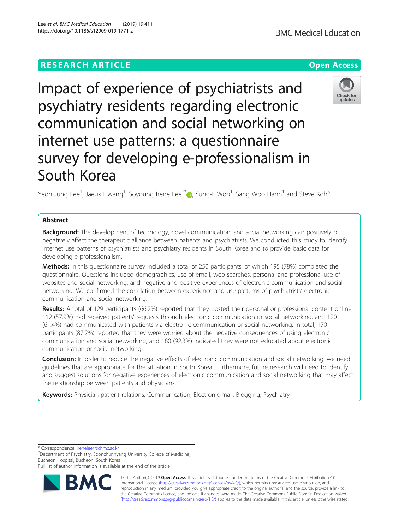# **RESEARCH ARTICLE Example 2014 12:30 The Contract of Contract ACCESS**

Impact of experience of psychiatrists and psychiatry residents regarding electronic communication and social networking on internet use patterns: a questionnaire survey for developing e-professionalism in South Korea

Yeon Jung Lee<sup>1</sup>, Jaeuk Hwang<sup>1</sup>, Soyoung Irene Lee<sup>2[\\*](http://orcid.org/0000-0001-8953-5893)</sup>. Sung-Il Woo<sup>1</sup>, Sang Woo Hahn<sup>1</sup> and Steve Koh<sup>3</sup>

## Abstract

**Background:** The development of technology, novel communication, and social networking can positively or negatively affect the therapeutic alliance between patients and psychiatrists. We conducted this study to identify Internet use patterns of psychiatrists and psychiatry residents in South Korea and to provide basic data for developing e-professionalism.

Methods: In this questionnaire survey included a total of 250 participants, of which 195 (78%) completed the questionnaire. Questions included demographics, use of email, web searches, personal and professional use of websites and social networking, and negative and positive experiences of electronic communication and social networking. We confirmed the correlation between experience and use patterns of psychiatrists' electronic communication and social networking.

Results: A total of 129 participants (66.2%) reported that they posted their personal or professional content online, 112 (57.9%) had received patients' requests through electronic communication or social networking, and 120 (61.4%) had communicated with patients via electronic communication or social networking. In total, 170 participants (87.2%) reported that they were worried about the negative consequences of using electronic communication and social networking, and 180 (92.3%) indicated they were not educated about electronic communication or social networking.

**Conclusion:** In order to reduce the negative effects of electronic communication and social networking, we need guidelines that are appropriate for the situation in South Korea. Furthermore, future research will need to identify and suggest solutions for negative experiences of electronic communication and social networking that may affect the relationship between patients and physicians.

Keywords: Physician-patient relations, Communication, Electronic mail, Blogging, Psychiatry

\* Correspondence: [irenelee@schmc.ac.kr](mailto:irenelee@schmc.ac.kr) <sup>2</sup>

<sup>2</sup>Department of Psychiatry, Soonchunhyang University College of Medicine, Bucheon Hospital, Bucheon, South Korea

Full list of author information is available at the end of the article





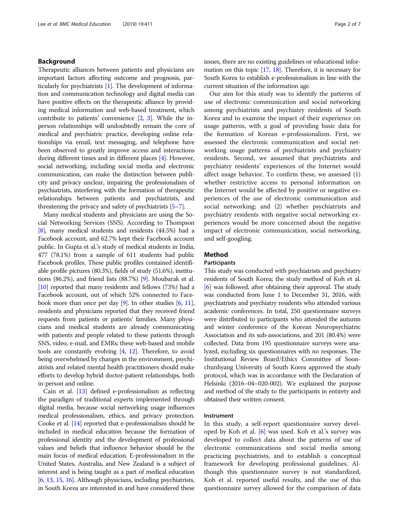### Background

Therapeutic alliances between patients and physicians are important factors affecting outcome and prognosis, particularly for psychiatrists [[1\]](#page-5-0). The development of information and communication technology and digital media can have positive effects on the therapeutic alliance by providing medical information and web-based treatment, which contribute to patients' convenience [\[2,](#page-5-0) [3](#page-5-0)]. While the inperson relationships will undoubtedly remain the core of medical and psychiatric practice, developing online relationships via email, text messaging, and telephone have been observed to greatly improve access and interactions during different times and in different places [\[4\]](#page-5-0). However, social networking, including social media and electronic communication, can make the distinction between publicity and privacy unclear, impairing the professionalism of psychiatrists, interfering with the formation of therapeutic relationships between patients and psychiatrists, and threatening the privacy and safety of psychiatrists [\[5](#page-5-0)–[7\]](#page-6-0).

Many medical students and physicians are using the Social Networking Services (SNS). According to Thompson [[8](#page-6-0)], many medical students and residents (44.5%) had a Facebook account, and 62.7% kept their Facebook account public. In Gupta et al.'s study of medical students in India, 477 (78.1%) from a sample of 611 students had public Facebook profiles. These public profiles contained identifiable profile pictures (80.3%), fields of study (51.6%), institutions (86.2%), and friend lists (88.7%) [\[9\]](#page-6-0). Moubarak et al. [[10](#page-6-0)] reported that many residents and fellows (73%) had a Facebook account, out of which 52% connected to Facebook more than once per day [\[9\]](#page-6-0). In other studies [[6,](#page-6-0) [11](#page-6-0)], residents and physicians reported that they received friend requests from patients or patients' families. Many physicians and medical students are already communicating with patients and people related to these patients through SNS, video, e-mail, and EMRs; these web-based and mobile tools are constantly evolving [\[4](#page-5-0), [12](#page-6-0)]. Therefore, to avoid being overwhelmed by changes in the environment, psychiatrists and related mental health practitioners should make efforts to develop hybrid doctor-patient relationships, both in-person and online.

Cain et al. [\[13](#page-6-0)] defined e-professionalism as reflecting the paradigm of traditional experts implemented through digital media, because social networking usage influences medical professionalism, ethics, and privacy protection. Cooke et al. [[14](#page-6-0)] reported that e-professionalism should be included in medical education because the formation of professional identity and the development of professional values and beliefs that influence behavior should be the main focus of medical education. E-professionalism in the United States, Australia, and New Zealand is a subject of interest and is being taught as a part of medical education [[6](#page-6-0), [13,](#page-6-0) [15](#page-6-0), [16](#page-6-0)]. Although physicians, including psychiatrists, in South Korea are interested in and have considered these issues, there are no existing guidelines or educational information on this topic [\[17,](#page-6-0) [18\]](#page-6-0). Therefore, it is necessary for South Korea to establish e-professionalism in line with the current situation of the information age.

Our aim for this study was to identify the patterns of use of electronic communication and social networking among psychiatrists and psychiatry residents of South Korea and to examine the impact of their experience on usage patterns, with a goal of providing basic data for the formation of Korean e-professionalism. First, we assessed the electronic communication and social networking usage patterns of psychiatrists and psychiatry residents. Second, we assumed that psychiatrists and psychiatry residents' experiences of the Internet would affect usage behavior. To confirm these, we assessed (1) whether restrictive access to personal information on the Internet would be affected by positive or negative experiences of the use of electronic communication and social networking; and (2) whether psychiatrists and psychiatry residents with negative social networking experiences would be more concerned about the negative impact of electronic communication, social networking, and self-googling.

### Method

#### Participants

This study was conducted with psychiatrists and psychiatry residents of South Korea; the study method of Koh et al. [[6](#page-6-0)] was followed, after obtaining their approval. The study was conducted from June 1 to December 31, 2016, with psychiatrists and psychiatry residents who attended various academic conferences. In total, 250 questionnaire surveys were distributed to participants who attended the autumn and winter conference of the Korean Neuropsychiatric Association and its sub-associations, and 201 (80.4%) were collected. Data from 195 questionnaire surveys were analyzed, excluding six questionnaires with no responses. The Institutional Review Board/Ethics Committee of Soonchunhyang University of South Korea approved the study protocol, which was in accordance with the Declaration of Helsinki (2016–04–020-002). We explained the purpose and method of the study to the participants in entirety and obtained their written consent.

### Instrument

In this study, a self-report questionnaire survey developed by Koh et al. [[6\]](#page-6-0) was used. Koh et al.'s survey was developed to collect data about the patterns of use of electronic communications and social media among practicing psychiatrists, and to establish a conceptual framework for developing professional guidelines. Although this questionnaire survey is not standardized, Koh et al. reported useful results, and the use of this questionnaire survey allowed for the comparison of data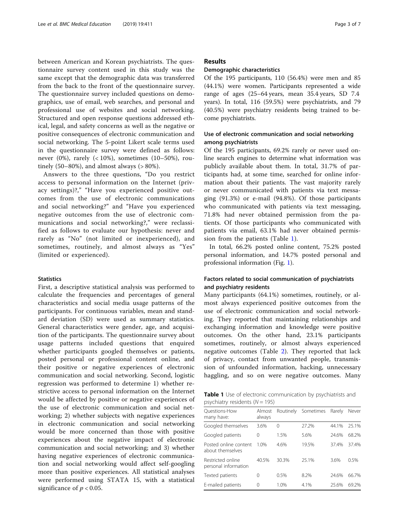between American and Korean psychiatrists. The questionnaire survey content used in this study was the same except that the demographic data was transferred from the back to the front of the questionnaire survey. The questionnaire survey included questions on demographics, use of email, web searches, and personal and professional use of websites and social networking. Structured and open response questions addressed ethical, legal, and safety concerns as well as the negative or positive consequences of electronic communication and social networking. The 5-point Likert scale terms used in the questionnaire survey were defined as follows: never (0%), rarely  $(< 10\%)$ , sometimes (10–50%), routinely  $(50-80\%)$ , and almost always  $(>80\%).$ 

Answers to the three questions, "Do you restrict access to personal information on the Internet (privacy settings)?," "Have you experienced positive outcomes from the use of electronic communications and social networking?" and "Have you experienced negative outcomes from the use of electronic communications and social networking?," were reclassified as follows to evaluate our hypothesis: never and rarely as "No" (not limited or inexperienced), and sometimes, routinely, and almost always as "Yes" (limited or experienced).

#### **Statistics**

First, a descriptive statistical analysis was performed to calculate the frequencies and percentages of general characteristics and social media usage patterns of the participants. For continuous variables, mean and standard deviation (SD) were used as summary statistics. General characteristics were gender, age, and acquisition of the participants. The questionnaire survey about usage patterns included questions that enquired whether participants googled themselves or patients, posted personal or professional content online, and their positive or negative experiences of electronic communication and social networking. Second, logistic regression was performed to determine 1) whether restrictive access to personal information on the Internet would be affected by positive or negative experiences of the use of electronic communication and social networking; 2) whether subjects with negative experiences in electronic communication and social networking would be more concerned than those with positive experiences about the negative impact of electronic communication and social networking; and 3) whether having negative experiences of electronic communication and social networking would affect self-googling more than positive experiences. All statistical analyses were performed using STATA 15, with a statistical significance of  $p < 0.05$ .

### Results

### Demographic characteristics

Of the 195 participants, 110 (56.4%) were men and 85 (44.1%) were women. Participants represented a wide range of ages (25–64 years, mean 35.4 years, SD 7.4 years). In total, 116 (59.5%) were psychiatrists, and 79 (40.5%) were psychiatry residents being trained to become psychiatrists.

### Use of electronic communication and social networking among psychiatrists

Of the 195 participants, 69.2% rarely or never used online search engines to determine what information was publicly available about them. In total, 31.7% of participants had, at some time, searched for online information about their patients. The vast majority rarely or never communicated with patients via text messaging (91.3%) or e-mail (94.8%). Of those participants who communicated with patients via text messaging, 71.8% had never obtained permission from the patients. Of those participants who communicated with patients via email, 63.1% had never obtained permission from the patients (Table 1).

In total, 66.2% posted online content, 75.2% posted personal information, and 14.7% posted personal and professional information (Fig. [1](#page-3-0)).

### Factors related to social communication of psychiatrists and psychiatry residents

Many participants (64.1%) sometimes, routinely, or almost always experienced positive outcomes from the use of electronic communication and social networking. They reported that maintaining relationships and exchanging information and knowledge were positive outcomes. On the other hand, 23.1% participants sometimes, routinely, or almost always experienced negative outcomes (Table [2\)](#page-3-0). They reported that lack of privacy, contact from unwanted people, transmission of unfounded information, hacking, unnecessary haggling, and so on were negative outcomes. Many

Table 1 Use of electronic communication by psychiatrists and psychiatry residents  $(N = 195)$ 

| Ouestions-How<br>many have:               | Almost<br>always | Routinely | Sometimes | Rarely | Never |  |
|-------------------------------------------|------------------|-----------|-----------|--------|-------|--|
| Googled themselves                        | 3.6%             | 0         | 27.2%     | 44.1%  | 25.1% |  |
| Googled patients                          | 0                | 1.5%      | 5.6%      | 24.6%  | 68.2% |  |
| Posted online content<br>about themselves | 1.0%             | 4.6%      | 19.5%     | 37.4%  | 37.4% |  |
| Restricted online<br>personal information | 40.5%            | 30.3%     | 25.1%     | 3.6%   | 0.5%  |  |
| Texted patients                           | 0                | 0.5%      | 8.2%      | 24.6%  | 66.7% |  |
| E-mailed patients                         | 0                | 1.0%      | 4.1%      | 25.6%  | 69.2% |  |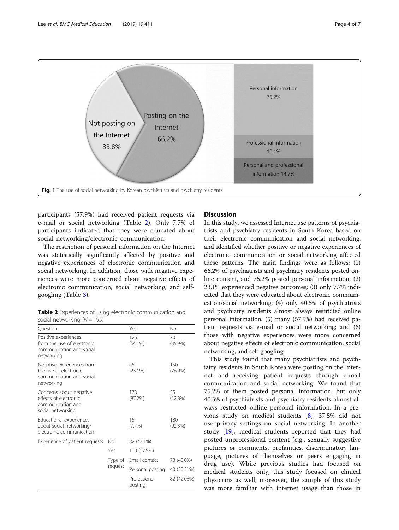<span id="page-3-0"></span>

participants (57.9%) had received patient requests via e-mail or social networking (Table 2). Only 7.7% of participants indicated that they were educated about social networking/electronic communication.

The restriction of personal information on the Internet was statistically significantly affected by positive and negative experiences of electronic communication and social networking. In addition, those with negative experiences were more concerned about negative effects of electronic communication, social networking, and selfgoogling (Table [3\)](#page-4-0).

Table 2 Experiences of using electronic communication and social networking  $(N = 195)$ 

| Ouestion                                                                                      |                    | Yes                     | No                |
|-----------------------------------------------------------------------------------------------|--------------------|-------------------------|-------------------|
| Positive experiences<br>from the use of electronic<br>communication and social<br>networking  |                    | 125<br>$(64.1\%)$       | 70<br>$(35.9\%)$  |
| Negative experiences from<br>the use of electronic.<br>communication and social<br>networking |                    | 45<br>(23.1%)           | 150<br>$(76.9\%)$ |
| Concerns about negative<br>effects of electronic<br>communication and<br>social networking    |                    | 170<br>(87.2%)          | 25<br>(12.8%)     |
| Educational experiences<br>about social networking/<br>electronic communication               |                    | 15<br>(7.7%)            | 180<br>(92.3%)    |
| Experience of patient requests                                                                | Nο                 | 82 (42.1%)              |                   |
|                                                                                               | Yes                | 113 (57.9%)             |                   |
|                                                                                               | Type of<br>request | Email contact           | 78 (40.0%)        |
|                                                                                               |                    | Personal posting        | 40 (20.51%)       |
|                                                                                               |                    | Professional<br>posting | 82 (42.05%)       |

### Discussion

In this study, we assessed Internet use patterns of psychiatrists and psychiatry residents in South Korea based on their electronic communication and social networking, and identified whether positive or negative experiences of electronic communication or social networking affected these patterns. The main findings were as follows: (1) 66.2% of psychiatrists and psychiatry residents posted online content, and 75.2% posted personal information; (2) 23.1% experienced negative outcomes; (3) only 7.7% indicated that they were educated about electronic communication/social networking; (4) only 40.5% of psychiatrists and psychiatry residents almost always restricted online personal information; (5) many (57.9%) had received patient requests via e-mail or social networking; and (6) those with negative experiences were more concerned about negative effects of electronic communication, social networking, and self-googling.

This study found that many psychiatrists and psychiatry residents in South Korea were posting on the Internet and receiving patient requests through e-mail communication and social networking. We found that 75.2% of them posted personal information, but only 40.5% of psychiatrists and psychiatry residents almost always restricted online personal information. In a previous study on medical students [\[8](#page-6-0)], 37.5% did not use privacy settings on social networking. In another study [[19](#page-6-0)], medical students reported that they had posted unprofessional content (e.g., sexually suggestive pictures or comments, profanities, discriminatory language, pictures of themselves or peers engaging in drug use). While previous studies had focused on medical students only, this study focused on clinical physicians as well; moreover, the sample of this study was more familiar with internet usage than those in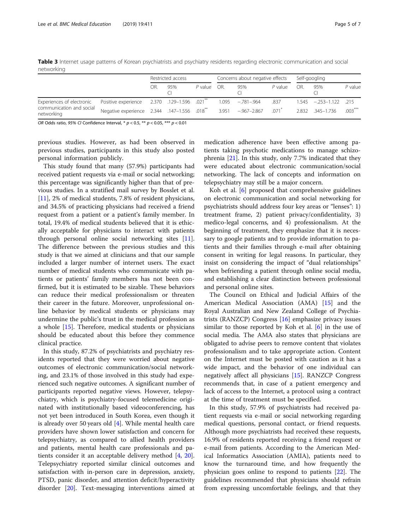<span id="page-4-0"></span>Table 3 Internet usage patterns of Korean psychiatrists and psychiatry residents regarding electronic communication and social networking

|                                                                     |                                                                                             | Restricted access |     | Concerns about negative effects |  |                    | Self-googling |    |                              |           |
|---------------------------------------------------------------------|---------------------------------------------------------------------------------------------|-------------------|-----|---------------------------------|--|--------------------|---------------|----|------------------------------|-----------|
|                                                                     |                                                                                             | OR.               | 95% | P value OR.                     |  | 95%                | $P$ value     | OR | 95%                          | $P$ value |
| Experiences of electronic<br>communication and social<br>networking | Positive experience 2.370 .129-1.596 .021**                                                 |                   |     |                                 |  | $1.095 -781 - 964$ | .837          |    | $1.545 - 0.253 - 1.122$ .215 |           |
|                                                                     | Negative experience 2.344 .147-1.556 .018 <sup>**</sup> 3.951 -.967-2.867 .071 <sup>*</sup> |                   |     |                                 |  |                    |               |    | 2.832 345-1.736              | $.003***$ |

OR Odds ratio, 95% CI Confidence Interval, \*  $p < 0.5$ , \*\*  $p < 0.05$ , \*\*\*  $p < 0.01$ 

previous studies. However, as had been observed in previous studies, participants in this study also posted personal information publicly.

This study found that many (57.9%) participants had received patient requests via e-mail or social networking; this percentage was significantly higher than that of previous studies. In a stratified mail survey by Bosslet et al. [[11\]](#page-6-0), 2% of medical students, 7.8% of resident physicians, and 34.5% of practicing physicians had received a friend request from a patient or a patient's family member. In total, 19.4% of medical students believed that it is ethically acceptable for physicians to interact with patients through personal online social networking sites [\[11](#page-6-0)]. The difference between the previous studies and this study is that we aimed at clinicians and that our sample included a larger number of internet users. The exact number of medical students who communicate with patients or patients' family members has not been confirmed, but it is estimated to be sizable. These behaviors can reduce their medical professionalism or threaten their career in the future. Moreover, unprofessional online behavior by medical students or physicians may undermine the public's trust in the medical profession as a whole [\[15](#page-6-0)]. Therefore, medical students or physicians should be educated about this before they commence clinical practice.

In this study, 87.2% of psychiatrists and psychiatry residents reported that they were worried about negative outcomes of electronic communication/social networking, and 23.1% of those involved in this study had experienced such negative outcomes. A significant number of participants reported negative views. However, telepsychiatry, which is psychiatry-focused telemedicine originated with institutionally based videoconferencing, has not yet been introduced in South Korea, even though it is already over 50 years old [\[4](#page-5-0)]. While mental health care providers have shown lower satisfaction and concern for telepsychiatry, as compared to allied health providers and patients, mental health care professionals and patients consider it an acceptable delivery method [[4](#page-5-0), [20](#page-6-0)]. Telepsychiatry reported similar clinical outcomes and satisfaction with in-person care in depression, anxiety, PTSD, panic disorder, and attention deficit/hyperactivity disorder [[20\]](#page-6-0). Text-messaging interventions aimed at medication adherence have been effective among patients taking psychotic medications to manage schizophrenia [\[21](#page-6-0)]. In this study, only 7.7% indicated that they were educated about electronic communication/social networking. The lack of concepts and information on telepsychiatry may still be a major concern.

Koh et al. [\[6](#page-6-0)] proposed that comprehensive guidelines on electronic communication and social networking for psychiatrists should address four key areas or "lenses": 1) treatment frame, 2) patient privacy/confidentiality, 3) medico-legal concerns, and 4) professionalism. At the beginning of treatment, they emphasize that it is necessary to google patients and to provide information to patients and their families through e-mail after obtaining consent in writing for legal reasons. In particular, they insist on considering the impact of "dual relationships" when befriending a patient through online social media, and establishing a clear distinction between professional and personal online sites.

The Council on Ethical and Judicial Affairs of the American Medical Association (AMA) [\[15\]](#page-6-0) and the Royal Australian and New Zealand College of Psychiatrists (RANZCP) Congress [\[16](#page-6-0)] emphasize privacy issues similar to those reported by Koh et al. [\[6](#page-6-0)] in the use of social media. The AMA also states that physicians are obligated to advise peers to remove content that violates professionalism and to take appropriate action. Content on the Internet must be posted with caution as it has a wide impact, and the behavior of one individual can negatively affect all physicians [[15](#page-6-0)]. RANZCP Congress recommends that, in case of a patient emergency and lack of access to the Internet, a protocol using a contract at the time of treatment must be specified.

In this study, 57.9% of psychiatrists had received patient requests via e-mail or social networking regarding medical questions, personal contact, or friend requests. Although more psychiatrists had received these requests, 16.9% of residents reported receiving a friend request or e-mail from patients. According to the American Medical Informatics Association (AMIA), patients need to know the turnaround time, and how frequently the physician goes online to respond to patients [[22](#page-6-0)]. The guidelines recommended that physicians should refrain from expressing uncomfortable feelings, and that they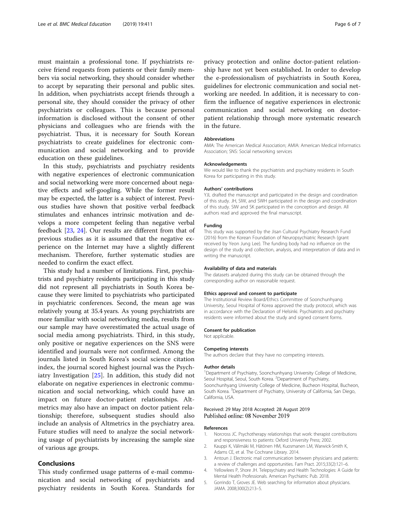<span id="page-5-0"></span>must maintain a professional tone. If psychiatrists receive friend requests from patients or their family members via social networking, they should consider whether to accept by separating their personal and public sites. In addition, when psychiatrists accept friends through a personal site, they should consider the privacy of other psychiatrists or colleagues. This is because personal information is disclosed without the consent of other physicians and colleagues who are friends with the psychiatrist. Thus, it is necessary for South Korean psychiatrists to create guidelines for electronic communication and social networking and to provide education on these guidelines.

In this study, psychiatrists and psychiatry residents with negative experiences of electronic communication and social networking were more concerned about negative effects and self-googling. While the former result may be expected, the latter is a subject of interest. Previous studies have shown that positive verbal feedback stimulates and enhances intrinsic motivation and develops a more competent feeling than negative verbal feedback [\[23](#page-6-0), [24\]](#page-6-0). Our results are different from that of previous studies as it is assumed that the negative experience on the Internet may have a slightly different mechanism. Therefore, further systematic studies are needed to confirm the exact effect.

This study had a number of limitations. First, psychiatrists and psychiatry residents participating in this study did not represent all psychiatrists in South Korea because they were limited to psychiatrists who participated in psychiatric conferences. Second, the mean age was relatively young at 35.4 years. As young psychiatrists are more familiar with social networking media, results from our sample may have overestimated the actual usage of social media among psychiatrists. Third, in this study, only positive or negative experiences on the SNS were identified and journals were not confirmed. Among the journals listed in South Korea's social science citation index, the journal scored highest journal was the Psychiatry Investigation [\[25](#page-6-0)]. In addition, this study did not elaborate on negative experiences in electronic communication and social networking, which could have an impact on future doctor-patient relationships. Altmetrics may also have an impact on doctor patient relationship; therefore, subsequent studies should also include an analysis of Altmetrics in the psychiatry area. Future studies will need to analyze the social networking usage of psychiatrists by increasing the sample size of various age groups.

#### Conclusions

This study confirmed usage patterns of e-mail communication and social networking of psychiatrists and psychiatry residents in South Korea. Standards for

privacy protection and online doctor-patient relationship have not yet been established. In order to develop the e-professionalism of psychiatrists in South Korea, guidelines for electronic communication and social networking are needed. In addition, it is necessary to confirm the influence of negative experiences in electronic communication and social networking on doctorpatient relationship through more systematic research in the future.

#### Abbreviations

AMA: The American Medical Association; AMIA: American Medical Informatics Association; SNS: Social networking services

#### Acknowledgements

We would like to thank the psychiatrists and psychiatry residents in South Korea for participating in this study.

#### Authors' contributions

YJL drafted the manuscript and participated in the design and coordination of this study. JH, SIW, and SWH participated in the design and coordination of this study. SIW and SK participated in the conception and design. All authors read and approved the final manuscript.

#### Funding

This study was supported by the Jisan Cultural Psychiatry Research Fund (2016) from the Korean Foundation of Neuropsychiatric Research (grant received by Yeon Jung Lee). The funding body had no influence on the design of the study and collection, analysis, and interpretation of data and in writing the manuscript.

#### Availability of data and materials

The datasets analyzed during this study can be obtained through the corresponding author on reasonable request.

#### Ethics approval and consent to participate

The Institutional Review Board/Ethics Committee of Soonchunhyang University, Seoul Hospital of Korea approved the study protocol, which was in accordance with the Declaration of Helsinki. Psychiatrists and psychiatry residents were informed about the study and signed consent forms.

#### Consent for publication

Not applicable.

#### Competing interests

The authors declare that they have no competing interests.

#### Author details

<sup>1</sup>Department of Psychiatry, Soonchunhyang University College of Medicine Seoul Hospital, Seoul, South Korea. <sup>2</sup>Department of Psychiatry, Soonchunhyang University College of Medicine, Bucheon Hospital, Bucheon, South Korea. <sup>3</sup>Department of Psychiatry, University of California, San Diego, California, USA.

#### Received: 29 May 2018 Accepted: 28 August 2019 Published online: 08 November 2019

#### References

- 1. Norcross JC. Psychotherapy relationships that work: therapist contributions and responsiveness to patients: Oxford University Press; 2002.
- 2. Kauppi K, Välimäki M, Hätönen HM, Kuosmanen LM, Warwick-Smith K, Adams CE, et al. The Cochrane Library. 2014.
- 3. Antoun J. Electronic mail communication between physicians and patients: a review of challenges and opportunities. Fam Pract. 2015;33(2):121–6.
- 4. Yellowlees P, Shore JH. Telepsychiatry and Health Technologies: A Guide for Mental Health Professionals. American Psychiatric Pub. 2018.
- 5. Gorrindo T, Groves JE. Web searching for information about physicians. JAMA. 2008;300(2):213–5.